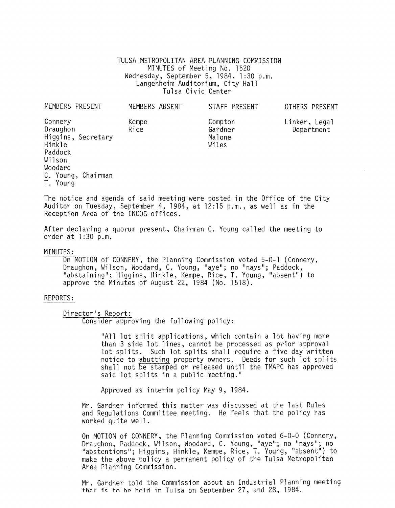TULSA METROPOLITAN AREA PLANNING COMMISSION MINUTES of Meeting No. 1520 Wednesday, September 5, 1984, 1 :30 p.m. Langenheim Auditorium, City Hall Tulsa Civic Center

| MEMBERS PRESENT                                               |                    | MEMBERS ABSENT | STAFF PRESENT                         | OTHERS PRESENT              |
|---------------------------------------------------------------|--------------------|----------------|---------------------------------------|-----------------------------|
| Connery<br>Draughon<br>Hinkle<br>Paddock<br>Wilson<br>Woodard | Higgins, Secretary | Kempe<br>Rice  | Compton<br>Gardner<br>Malone<br>Wiles | Linker, Legal<br>Department |
| T. Young                                                      | C. Young, Chairman |                |                                       |                             |

The notice and agenda of said meeting were posted in the Office of the City Auditor on Tuesday, September 4, 1984, at 12:15 p.m., as well as in the Reception Area of the INCOG offices.

After declaring a quorum present, Chairman C. Young called the meeting to order at 1 :30 p.m.

MINUTES:<br>On MOTION of CONNERY, the Planning Commission voted 5-0-1 (Connery, Draughon, Wilson, Woodard, C. Young, "aye"; no "nays"; Paddock, "abstaining"; Higgins, Hinkle, Kempe, Rice, T. Young, "absent") to approve the Minutes of August 22, 1984 (No. 1518).

## REPORTS:

Director's Report:

Consider approving the following policy:

"All lot split applications, which contain a lot having more than 3 side lot lines, cannot be processed as prior approval lot splits. Such lot splits shall require a five day written notice to abutting property owners, Deeds for such lot splits<br>shall not be stamped or released until the TMAPC has approved said lot splits in a public meeting."

Approved as interim policy May 9, 1984.

Mr. Gardner informed this matter was discussed at the last Rules and Regulations Committee meeting. He feels that the policy has worked quite well.

On MOTION of CONNERY, the Planning Commission voted 6-0-0 (Connery,<br>Draughon, Paddock, Wilson, Woodard, C. Young, "aye"; no "nays"; no "abstentions"; Higgins, Hinkle, Kempe, Rice, T. Young, "absent") to make the above policy a permanent policy of the Tulsa Metropolitan Area Planning Commission.

Mr. Gardner told the Commission about an Industrial Planning meeting  $+$ hat is to he held in Tulsa on September 27, and 28, 1984.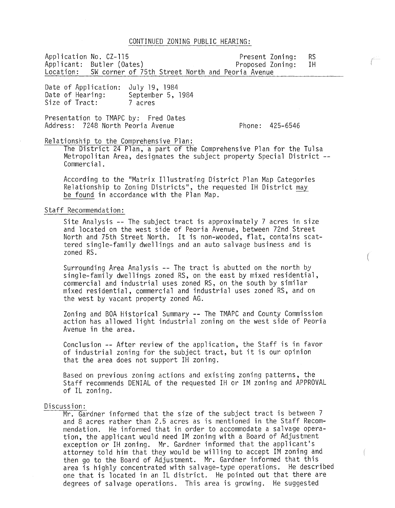#### CONTINUED ZONING PUBLIC HEARING:

Application No. CZ-115 Present Zoning: RS Applicant: Butler (Oates)<br>Location: SW corner of 7 SW corner of 75th Street North and Peoria Avenue

Date of Application: July 19, 1984 Date of Hearing: Size of Tract: September 5, 1984 7 acres

Presentation to TMAPC by: Fred Oates Address: 7248 North Peoria Avenue

Phone: 425-6546

# Relationship to the Comprehensive Plan:

The District 24 Plan, a part of the Comprehensive Plan for the Tulsa Metropolitan Area, designates the subject property Special District **--** Commercial.

According to the "Matrix Illustrating District Plan Map Categories Relationship to Zoning Districts", the requested IH District may be found in accordance with the Plan Map.

## Staff Recommendation:

Site Analysis **--** The subject tract is approximately 7 acres in size and located on the west side of Peoria Avenue, between 72nd Street North and 75th Street North. It is non-wooded, flat, contains scattered single-family dwellings and an auto salvage business and is zoned RS.

Surrounding Area Analysis **--** The tract is abutted on the north by single-family dwellings zoned RS, on the east by mixed residential, commercial and industrial uses zoned RS, on the south by similar mixed residential, commercial and industrial uses zoned RS, and on the west by vacant property zoned AG.

Zoning and BOA Historical Summary **--** The TMAPC and County Commission action has allowed light industrial zoning on the west side of Peoria Avenue in the area.

Conclusion **--** After review of the application, the Staff is in favor of industrial zoning for the subject tract, but it is our opinion that the area does not support IH zoning.

Based on previous zoning actions and existing zoning patterns, the Staff recommends DENIAL of the requested IH or 1M zoning and APPROVAL of IL zoning.

#### Discussion:

Mr. Gardner informed that the size of the subject tract is between 7 and 8 acres rather than 2.5 acres as is mentioned in the Staff Recommendation. He informed that in order to accommodate a salvage operation, the applicant would need 1M zoning with a Board of Adjustment exception or IH zoning. Mr. Gardner informed that the applicant's attorney told him that they would be willing to accept 1M zoning and then go to the Board of Adjustment. Mr. Gardner informed that this area is highly concentrated with salvage-type operations. He described one that is located in an IL district. He pointed out that there are degrees of salvage operations. This area is growing. He suggested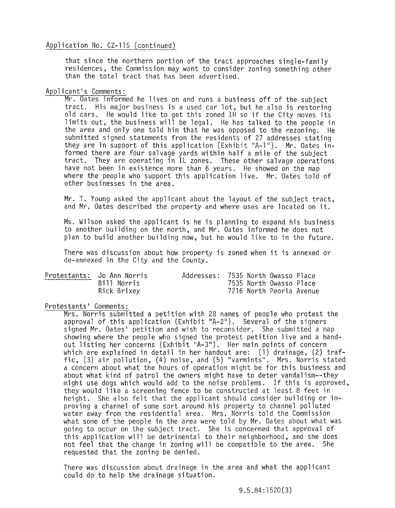# Application No. CZ-115 (continued)

that since the northern portion of the tract approaches single-family residences, the Commission may want to consider zoning something other than the total tract that has been advertised.

# Applicant's Comments:

Mr. Oates informed he lives on and runs a business off of the subject tract. His major business is a used car lot, but he also is restoring old cars. He would like to get this zoned IH so if the City moves its limits out, the business will be legal. He has talked to the people in the area and only one told him that he was opposed to the rezoning. He submitted signed statements from the residents of 27 addresses stating they are in support of this appl ication (Exhibit "A-l"). Mr. Oates informed there are four salvage yards within half a mile of the subject tract. They are operating in IL zones. These other salvage operations have not been in existence more than 6 years. He showed on the map where the people who support this application live. Mr. Oates told of other businesses in the area.

Mr. T. Young asked the applicant about the layout of the subject tract, and Mr. Oates described the property and where uses are located on it.

Ms. Wilson asked the applicant is he is planning to expand his business to another building on the north, and Mr. Oates informed he does not plan to build another building now, but he would like to in the future.

There was discussion about how property is zoned when it is annexed or de-annexed in the City and the County.

| Protestants: Jo Ann Norris | Addresses: 7535 North Owasso Place |  |                          |  |
|----------------------------|------------------------------------|--|--------------------------|--|
| Bill Norris                |                                    |  | 7535 North Owasso Place  |  |
| Rick Brixey                |                                    |  | 7216 North Peoria Avenue |  |

#### Protestants' Comments:

Mrs. Norris submitted a petition with 28 names of people who protest the approval of this application (Exhibit "A-2"). Several of the signers signed Mr. Oates' petition and wish to reconsider. She submitted a map showing where the people who signed the protest petition live and a handout listing her concerns (Exhibit "A-3"). Her main points of concern which are explained in detail in her handout are: (1) drainage, (2) traffic, (3) air pollution, (4) noise, and (5) "varmints". Mrs. Norris stated a concern about what the hours of operation might be for this business and about what kind of patrol the owners might have to deter vandalism--they might use dogs which would add to the noise problems. If this is approved, they would like a screening fence to be constructed at least 8 feet in height. She also felt that the applicant should consider building or improving a channel of some sort around his property to channel polluted water away from the residential area. Mrs. Norris told the Commission what some of the people in the area were told by Mr. Oates about what was going to occur on the subject tract. She is concerned that approval of this application will be detrimental to their neighborhood, and she does not feel that the change in zoning will be compatible to the area. She requested that the zoning be denied.

There was discussion about drainage in the area and what the applicant could do to help the drainage situation.

9.5.84:1520(3)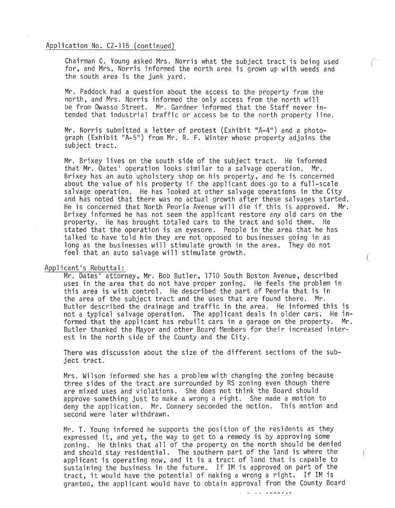#### Application No. CZ-115 (continued)

Chairman C. Young asked Mrs. Norris what the subject tract is being used for, and Mrs. Norris informed the north area is grown up with weeds and the south area is the junk yard.

Mr. Paddock had a question about the access to the property from the north, and Mrs. Norris informed the only access from the north will be from Owasso Street. Mr. Gardner informed that the Staff never intended that industrial traffic or access be to the north property line.

Mr. Norris submitted a letter of protest (Exhibit "A-4") and a photo-<br>graph (Exhibit "A-5") from Mr. R. F. Winter whose property adjoins the subject tract.

Mr. Brixey lives on the south side of the subject tract. He informed that Mr. Oates' operation looks similar to a salvage operation. Mr. Brixey has an auto upholstery shop on his property, and he is concerned about the value of his property if the applicant does go to a full-scale salvage operation. He has looked at other salvage operations in the City and has noted that there was no actual growth after these salvages started. He is concerned that North Peoria Avenue will die if this is approved. Mr. Brixey informed he has not seen the applicant restore any old cars on the property. He has brought totaled cars to the tract and sold them. He stated that the operation is an eyesore. People in the area that he has talked to have told him they are not opposed to businesses going in as long as the businesses will stimulate growth in the area. They do not feel that an auto salvage will stimulate growth.

## Applicant's Rebuttal:

Mr. Oates' attorney, Mr. Bob Butler, 1710 South Boston Avenue, described uses in the area that do not have proper zoning. He feels the problem in this area is with control. He described the part of Peoria that is in the area of the subject tract and the uses that are found there. Mr. Butler described the drainage and traffic in the area. He informed this is not a typical salvage operation. The applicant deals in older cars. He informed that the applicant has rebuilt cars in a garage on the property. Mr. Butler thanked the Mayor and other Board Members for their increased interest in the north side of the County and the City.

There was discussion about the size of the different sections of the subject tract.

Mrs. Wilson informed she has a problem with changing the zoning because three sides of the tract are surrounded by RS zoning even though there are mixed uses and violations. She does not think the Board should approve something just to make a wrong a right. She made a motion to deny the application. Mr. Connery seconded the motion. This motion and second were later withdrawn.

Mr. T. Young informed he supports the position of the residents as they expressed it, and yet, the way to get to a remedy is by approving some zoning. He thinks that all of the property on the north should be denied and should stay residential. The southern part of the land is where the applicant is operating now, and it is a tract of land that is capable to sustaining the business in the future. If 1M is approved on part of the tract, it would have the potential of making a wrong a right. If 1M is granted, the applicant would have to obtain approval from the County Board

 $\sim$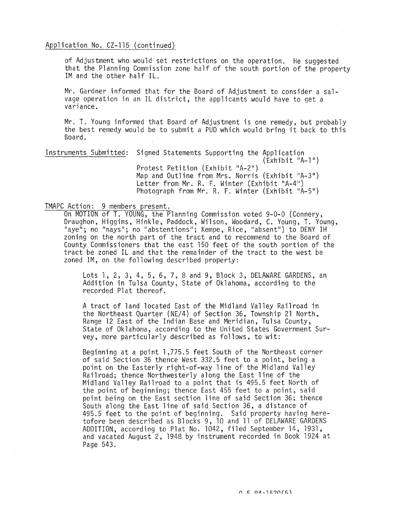### Application No. CZ-115 (continued)

of Adjustment who would set restrictions on the operation. He suggested that the Planning Commission zone half of the south portion of the property 1M and the other half IL.

Mr. Gardner informed that for the Board of Adjustment to consider a salvage operation in an IL district, the applicants would have to get a variance.

Mr. T. Young informed that Board of Adjustment is one remedy, but probably the best remedy would be to submit a PUD which would bring it back to this Board.

Instruments Submitted: Signed Statements Supporting the Application (Exhibit "A-l") Protest Petition (Exhibit "A-2") Map and Outline from Mrs. Norris  $(Exhibit "A-3")$ Letter from Mr. R. F. Winter (Exhibit "A-4") Photograph from Mr. R. F. Winter (Exhibit "A-5")

TMAPC Action: 9 members present.<br>On MOTION of T. YOUNG, the Planning Commission voted 9-0-0 (Connery, Draughon, Higgins, Hinkle, Paddock, Wilson, Woodard, C. Young, T. Young, "aye"; no "nays"; no "abstentions"; Kempe, Rice, "absent") to DENY IH zoning on the north part of the tract and to recommend to the Board of County Commissioners that the east 150 feet of the south portion of the tract be zoned IL and that the remainder of the tract to the west be zoned 1M, on the following described property:

> Lots 1, 2, 3, 4, 5, 6, 7, 8 and 9, Block 3, DELAWARE GARDENS, an Addition in Tulsa County, State of Oklahoma, according to the recorded Plat thereof.

A tract of land located East of the Midland Valley Railroad in the Northeast Quarter (NE/4) of Section 36, Township 21 North, Range 12 East of the Indian Base and Meridian, Tulsa County, State of Oklahoma, according to the United States Government Survey, more particularly described as follows, to wit:

Beginning at a point 1,775.5 feet South of the Northeast corner of said Section 36 thence West 332.5 feet to a point, being a point on the Easterly right-of-way line of the Midland Valley Railroad; thence Northwesterly along the East line of the Midland Valley Railroad to a point that is 495.5 feet North of the point of beginning; thence East 455 feet to a point, said point being on the East section line of said Section 36; thence South along the East line of said Section 36, a distance of 495.5 feet to the point of beginning. Said property having heretofore been described as Blocks 9, 10 and 11 of DELAWARE GARDENS ADDITION, according to Plat No. 1042, filed September 14, 1931, and vacated August 2, 1948 by instrument recorded in Book 1924 at Page 543.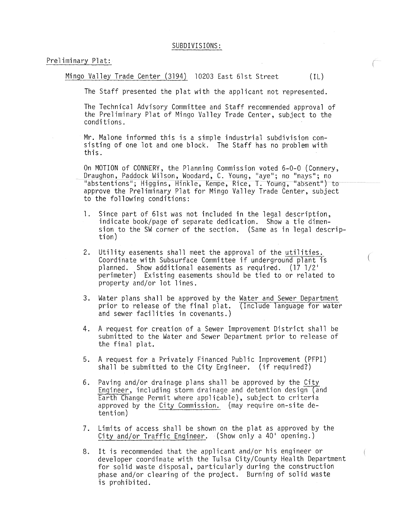Preliminary Plat:

Mingo Valley Trade Center (3194) 10203 East 61st Street (IL)

The Staff presented the plat with the applicant not represented.

The Technical Advisory Committee and Staff recommended approval of the Preliminary Plat of Mingo Valley Trade Center, subject to the conditi ons.

Mr. Malone informed this is a simple industrial subdivision consisting of one lot and one block. The Staff has no problem with this.

On MOTION of CONNERY, the Planning Commission voted 6-0-0 (Connery,<br>Draughon, Paddock Wilson, Woodard, C. Young, "aye"; no "nays"; no "abstentions"; Higgins, Hinkle, Kempe, Rice, T. Young, 1Iabsent") to approve the Preliminary Plat for Mingo Valley Trade Center, subject to the following conditions:

- 1. Since part of 61st was not included in the legal description, indicate book/page of separate dedication. Show a tie dimension to the SW corner of the section. (Same as in legal descrip- tion)
- 2. Utility easements shall meet the approval of the utilities. Coordinate with Subsurface Committee if underground plant is planned. Show additional easements as required. (17 1/21 perimeter) Existing easements should be tied to or related to property and/or lot lines.
- 3. Water plans shall be approved by the Water and Sewer Department prior to release of the final plat. (Include language for water and sewer facilities in covenants.)
- 4. A request for creation of a Sewer Improvement District shall be submitted to the Water and Sewer Department prior to release of the final plat.
- 5. A request for a Privately Financed Public Improvement (PFPI) shall be submitted to the City Engineer. (if required?)
- 6. Paving and/or drainage plans shall be approved by the City Engineer, including storm drainage and detention design (and Earth Change Permit where applicable), subject to criteria approved by the City Commission. (may require on-site detention)
- 7. Limits of access shall be shown on the plat as approved by the City and/or Traffic Engineer. (Show only a  $40'$  opening.)
- 8. It is recommended that the applicant and/or his engineer or developer coordinate with the Tulsa City/County Health Department for solid waste disposal, particularly during the construction phase and/or clearing of the project. Burning of solid waste is prohibited.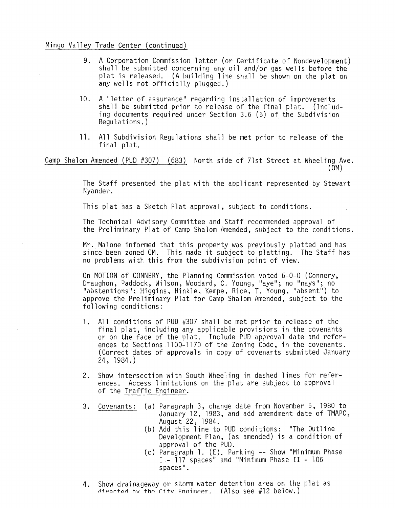# Mingo Valley Trade Center (continued)

- 9. A Corporation Commission letter (or Certificate of Nondevelopment) shall be submitted concerning any oil and/or gas wells before the plat is released. (A building line shall be shown on the plat on any wells not officially plugged.)
- 10. A "letter of assurance" regarding installation of improvements shall be submitted prior to release of the final plat. (Including documents required under Section 3.6 (5) of the Subdivision Regulations.)
- 11. All Subdivision Regulations shall be met prior to release of the final plat.

Camp Shalom Amended (PUD #307) (683) North side of 7lst Street at Wheeling Ave. (OM)

> The Staff presented the plat with the applicant represented by Stewart Nyander.

This plat has a Sketch Plat approval, subject to conditions.

The Technical Advisory Committee and Staff recommended approval of the Preliminary Plat of Camp Shalom Amended, subject to the conditions.

Mr. Malone informed that this property was previously platted and has since been zoned OM. This made it subject to platting. The Staff has no problems with this from the subdivision point of view.

On MOTION of CONNERY, the Planning Commission voted 6-0-0 (Connery, Draughon, Paddock, Wilson, Woodard, C. Young, "aye"; no "nays"; no "abstentions"; Higgins, Hinkle, Kempe, Rice, T. Young, "absent") to approve the Preliminary Plat for Camp Shalom Amended, subject to the following conditions:

- 1. All conditions of PUD #307 shall be met prior to release of the final plat, including any applicable provisions in the covenants or on the face of the plat. Include PUD approval date and references to Sections 1100-1170 of the Zoning Code, in the covenants. (Correct dates of approvals in copy of covenants submitted January 24, 1984.)
- 2. Show intersection with South Wheeling in dashed lines for references. Access limitations on the plat are subject to approval of the Traffic Engineer.
- 3. Covenants: (a) Paragraph 3, change date from November 5, 1980 to January 12, 1983, and add amendment date of TMAPC, August 22, 1984.
	- (b) Add this line to PUD conditions: "The Outline Development Plan, (as amended) is a condition of approval of the PUD.
	- (c) Paragraph 1. (E). Parking -- Show "Minimum Phase I - 117 spaces" and "Minimum Phase II - 106 spaces".
- 4. Show drainageway or storm water detention area on the plat as  $\forall$  directed by the City Fnaineer. (Also see #12 below.)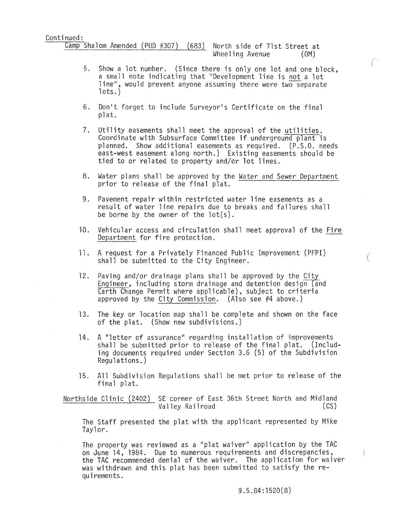$\frac{\text{Camp Shalom Amented (PUD #307)}{\text{Kamp Shalom}}$  (PUD #307) (683) North side of 71st Street at

- 5. Show a lot number. (Since there is only one lot and one block, a small note indicating that "Development line is not a lot line", would prevent anyone assuming there were two separate<br>lots.)
- 6. Don't forget to include Surveyor's Certificate on the final pl at.
- 7. Utility easements shall meet the approval of the utilities. Coordinate with Subsurface Committee if underground plant is planned. Show additional easements as required. (P.S.O. needs east-west easement along north.) Existing easements should be tied to or related to property and/or lot lines.
- 8. Water plans shall be approved by the Water and Sewer Department prior to release of the final plat.
- 9. Pavement repair within restricted water line easements as a result of water line repairs due to breaks and failures shall be borne by the owner of the lot(s).
- 10. Vehicular access and circulation shall meet approval of the Fire Department for fire protection.
- **11.** A request for a Privately Financed Public Improvement (PFPI) shall be submitted to the City Engineer.
- 12. Paving and/or drainage plans shall be approved by the City Engineer, including storm drainage and detention design (and Earth Change Permit where applicable), subject to criteria approved by the City Commission. (Also see #4 above.)
- 13. The key or location map shall be complete and shown on the face of the plat. (Show new subdivisions.)
- 14. A "letter of assurance" regarding installation of improvements shall be submitted prior to release of the final plat. (Including documents required under Section 3.6 (5) of the Subdivision Regulations.)
- 15. All Subdivision Regulations shall be met prior to release of the final plat.

Northside Clinic (2402) SE corner of East 36th Street North and Midland<br>Valley Railroad (CS) Valley Railroad

The Staff presented the plat with the applicant represented by Mike Taylor.

The property was reviewed as a "plat waiver" application by the TAC on June 14, 1984. Due to numerous requirements and discrepancies, the TAC recommended denial of the waiver. The application for waiver was withdrawn and this plat has been submitted to satisfy the requirements.

ţ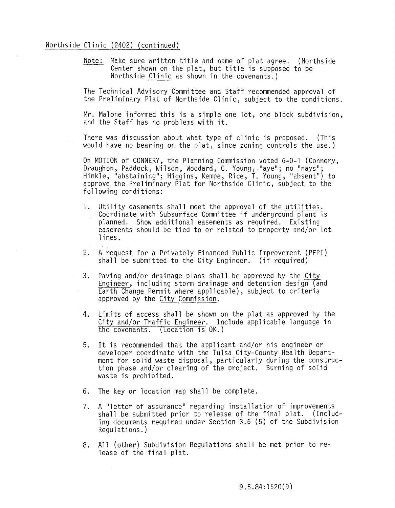# Northside Clinic (2402) (continued)

Note: Make sure written title and name of plat agree. (Northside Center shown on the plat, but title is supposed to be Northside Clinic as shown in the covenants.)

The Technical Advisory Committee and Staff recommended approval of the Preliminary Plat of Northside Clinic, subject to the conditions.

Mr. Malone informed this is a simple one lot, one block subdivision, and the Staff has no problems with it.

There was discussion about what type of clinic is proposed. (This would have no bearing on the plat, since zoning controls the use.)

On MOTION of CONNERY, the Planning Commission voted 6-0-1 (Connery, Draughon, Paddock, Wilson, Woodard, C. Young, "aye"; no "nays"; Hinkle, "abstaining"; Higgins, Kempe, Rice, T. Young, "absent") to approve the Preliminary Plat for Northside Clinic, subject to the following conditions:

- 1. Utility easements shall meet the approval of the utilities. Coordinate with Subsurface Committee if underground plant is planned. Show additional easements as required. Existing easements should be tied to or related to property and/or lot lines.
- 2. A request for a Privately Financed Public Improvement (PFPI) shall be submitted to the City Engineer. (if required)
- 3. Paving and/or drainage plans shall be approved by the City Engineer, including storm drainage and detention design (and Earth Change Permit where applicable), subject to criteria approved by the City Commission.
- 4. Limits of access shall be shown on the plat as approved by the City and/or Traffic Engineer. Include applicable language in the covenants. (Location is OK.)
- 5. It is recommended that the applicant and/or his engineer or developer coordinate with the Tulsa CitY-County Health Department for solid waste disposal, particularly during the construction phase and/or clearing of the project. Burning of solid waste is prohibited.
- 6. The key or location map shall be complete.
- 7. A "letter of assurance" regarding installation of improvements shall be submitted prior to release of the final plat. (Including documents required under Section 3.6 (5) of the Subdivision Regulations.)
- 8. All (other) Subdivision Regulations shall be met prior to release of the final plat.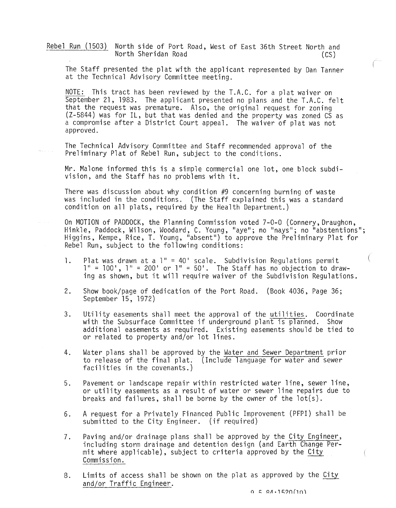Rebel Run (1503) North side of Port Road, West of East 36th Street North and North Sheridan Road (CS)

The Staff presented the plat with the applicant represented by Dan Tanner at the Technical Advisory Committee meeting.

NOTE: This tract has been reviewed by the T.A.C. for a plat waiver on September 21, 1983. The applicant presented no plans and the T.A.C. felt that the request was premature. Also, the original request for zoning (Z-5844) was for IL, but that was denied and the property was zoned CS as a compromise after a District Court appeal. The waiver of plat was not approved.

The Technical Advisory Committee and Staff recommended approval of the Preliminary Plat of Rebel Run, subject to the conditions.

Mr. Malone informed this is a simple commercial one lot, one block subdivision, and the Staff has no problems with it.

There was discussion about why condition #9 concerning burning of waste was included in the conditions. (The Staff explained this was a standard condition on all plats, required by the Health Department.)

On MOTION of PADDOCK, the Planning Commission voted 7-0-0 (Connery, Draughon, Hinkle, Paddock, Wilson, Woodard, C. Young, "aye"; no "nays"; no "abstentions"; Higgins, Kempe, Rice, T. Young, "absent") to approve the Preliminary Plat for Rebel Run, subject to the following conditions:

- 1. Plat was drawn at a 1" = 40' scale. Subdivision Regulations permit  $1'' = 100'$ ,  $1'' = 200'$  or  $1'' = 50'$ . The Staff has no objection to drawing as shown, but it will require waiver of the Subdivision Regulations.
- 2. Show book/page of dedication of the Port Road. (Book 4036, Page 36; September 15, 1972)
- 3. Utility easements shall meet the approval of the utilities. Coordinate with the Subsurface Committee if underground plant is planned. Show additional easements as required. Existing easements should be tied to or related to property and/or lot lines.
- 4. Water plans shall be approved by the Water and Sewer Department prior to release of the final plat. (Include language for water and sewer facilities in the covenants.)
- 5. Pavement or landscape repair within restricted water line, sewer line, or utility easements as a result of water or sewer line repairs due to breaks and failures, shall be borne by the owner of the lot(s).
- 6. A request for a Privately Financed Public Improvement (PFPI) shall be submitted to the City Engineer. (if required)
- 7. Paving and/or drainage plans shall be approved by the City Engineer, including storm drainage and detention design (and Earth Change Permit where applicable), subject to criteria approved by the City Commission.
- 8. Limits of access shall be shown on the plat as approved by the City and/or Traffic Engineer.

 $Q = R A \cdot 1520 (10)$ 

€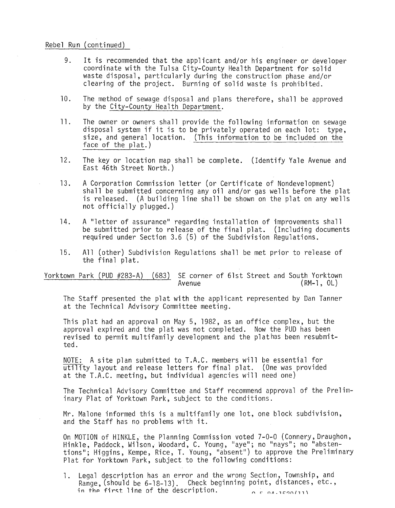## Rebel Run (continued)

- 9. It is recommended that the applicant and/or his engineer or developer coordinate with the Tulsa CitY-County Health Department for solid waste disposal, particularly during the construction phase and/or clearing of the project. Burning of solid waste is prohibited.
- 10. The method of sewage disposal and plans therefore, shall be approved by the City-County Health Department.
- **11.** The owner or owners shall provide the following information on sewage disposal system if it is to be privately operated on each lot: type, size, and general location. (This information to be included on the face of the plat.)
- 12. The key or location map shall be complete. (Identify Yale Avenue and East 46th Street North.)
- 13. A Corporation Commission letter (or Certificate of Nondevelopment) shall be submitted concerning any oil and/or gas wells before the plat is released. (A building line shall be shown on the plat on any wells not officially plugged.)
- 14. A "letter of assurance" regarding installation of improvements shall be submitted prior to release of the final plat. (Including documents required under Section 3.6 (5) of the Subdivision Regulations.
- 15. All (other) Subdivision Regulations shall be met prior to release of the final plat.

Yorktown Park (PUD #283-A) (683) SE corner of 61st Street and South Yorktown  $(RM-1, OL)$ 

The Staff presented the plat with the applicant represented by Dan Tanner at the Technical Advisory Committee meeting.

This plat had an approval on May 5, 1982, as an office complex, but the approval expired and the plat was not completed. Now the PUD has been revised to permit multifamily development and the plathas been resubmitted.

NOTE: A site plan submitted to T.A.C. members will be essential for utility layout and release letters for final plat. (One was provided at the T.A.C. meeting, but individual agencies will need one)

The Technical Advisory Committee and Staff recommend approval of the Preliminary Plat of Yorktown Park, subject to the conditions.

Mr. Malone informed this is a multifamily one lot, one block subdivision, and the Staff has no problems with it.

On MOTION of HINKLE, the Planning Commission voted 7-0-0 (Connery, Draughon, Hinkle, Paddock, Wilson, Woodard, C. Young, "aye"; no "nays"; no "abstentions"; Higgins, Kempe, Rice, T. Young, "absent") to approve the Preliminary Plat for Yorktown Park, subject to the following conditions:

1. Legal description has an error and the wrong Section, Township, and Range, (should be 6-18-13). Check beginning point, distances, etc., in the first line of the description.  $\alpha$  L  $\alpha$ , L  $\alpha$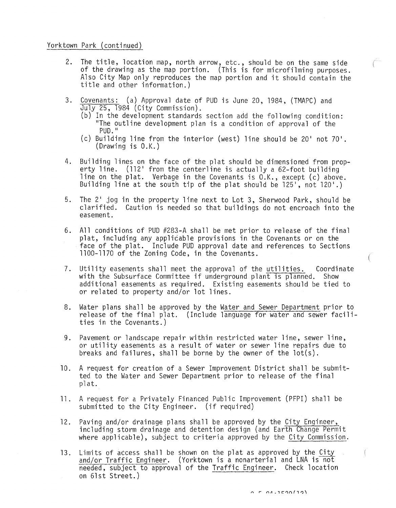Yorktown Park (continued)

- 2. The title, location map, north arrow, etc., should be on the same side of the drawing as the map portion. (This is for microfilming purposes. Also City Map only reproduces the map portion and it should contain the title and other information.)
- 3. Covenants: (a) Approval date of PUD is June 20, 1984, (TMAPC) and July 25, 1984 (City Commission).
	- (b) In the development standards section add the following condition: "The outline development plan is a condition of approval of the PUD."
	- (c) Building line from the interior (west) line should be 20' not 70'.<br>(Drawing is  $0.K.$ )
- 4. Building lines on the face of the plat should be dimensioned from propbuilding lines on the late of the plat should be dimensioned from pro<br>erty line. (112' from the centerline is actually a 62-foot building line on the plat. Verbage in the Covenants is O.K., except (c) above. Building line at the south tip of the plat should be  $125$ , not  $120$ .)
- 5. The 2' jog in the property line next to Lot 3, Sherwood Park, should be clarified. Caution is needed so that buildings do not encroach into the easement.
- 6. All conditions of PUD #281-A shall be met prior to release of the final plat, including any applicable provisions in the Covenants or on the face of the plat. Include PUD approval date and references to Sections 1100-1170 of the Zoning Code, in the Covenants.
- 7. Utility easements shall meet the approval of the utilities. Coordinate with the Subsurface Committee if underground plant is planned. Show additional easements as required. Existing easements should be tied to or related to property and/or lot lines.
- 8. Water plans shall be approved by the Water and Sewer Department prior to release of the final plat. (Include language for water and sewer facilities in the Covenants.)
- 9. Pavement or landscape repair within restricted water line, sewer line, or utility easements as a result of water or sewer line repairs due to breaks and failures, shall be borne by the owner of the lot(s).
- 10. A request for creation of a Sewer Improvement District shall be submitted to the Water and Sewer Department prior to release of the final pl at.
- 11. A request for a Privately Financed Public Improvement (PFPI) shall be submitted to the City Engineer. (if required)
- 12. Paving and/or drainage plans shall be approved by the City Engineer, including storm drainage and detention design (and Earth Change Permit where applicable), subject to criteria approved by the City Commission.
- 13. Limits of access shall be shown on the plat as approved by the City and/or Traffic Engineer. (Yorktown is a nonarterial and LNA is not needed, subject to approval of the Traffic Engineer. Check location on 61st Street.)

€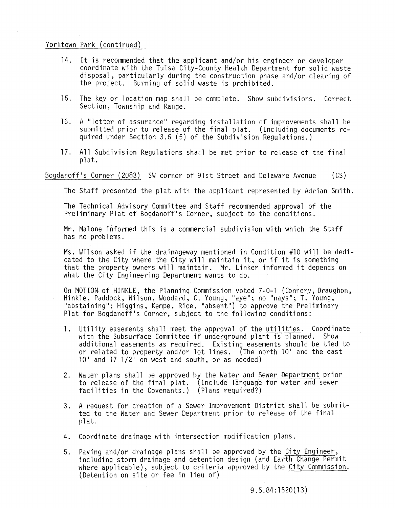## Yorktown Park (continued)

- 14. It is recommended that the applicant and/or his engineer or developer coordinate with the Tulsa City-County Health Department for solid waste disposal, particularly during the construction phase and/or clearing of the project. Burning of solid waste is prohibited.
- 15. The key or location map shall be complete. Show subdivisions. Correct Section, Township and Range.
- 16. A "letter of assurance" regarding installation of improvements shall be submitted prior to release of the final plat. (Including documents required under Section 3.6 (5) of the Subdivision Regulations.)
- 17. All Subdivision Regulations shall be met prior to release of the final pl at.

## Bogdanoff's Corner (2083) SW corner of 91st Street and Delaware Avenue (CS)

The Staff presented the plat with the applicant represented by Adrian Smith.

The Technical Advisory Committee and Staff recommended approval of the Preliminary Plat of Bogdanoff's Corner, subject to the conditions.

Mr. Malone informed this is a commercial subdivision with which the Staff has no problems.

Ms. Wilson asked if the drainageway mentioned in Condition #10 will be dedicated to the City where the City will maintain it, or if it is something that the property owners will maintain. Mr. Linker informed it depends on what the City Engineering Department wants to do.

On MOTION of HINKLE, the Planning Commission voted 7-0-1 (Connery, Draughon, Hinkle, Paddock, Wilson, Woodard, C. Young, "aye"; no "nays"; T. Young, "abstaining"; Higgins, Kempe, Rice, "absent") to approve the Preliminary Plat for Bogdanoff's Corner, subject to the following conditions:

- 1. Utility easements shall meet the approval of the utilities. Coordinate with the Subsurface Committee if underground plant is planned. Show additional easements as required. Existing easements should be tied to or related to property and/or lot lines. (The north  $10<sup>1</sup>$  and the east  $10'$  and  $17$   $1/2'$  on west and south, or as needed)
- 2. Water plans shall be approved by the Water and Sewer Department prior to release of the final plat. (Include language for water and sewer facilities in the Covenants.) (Plans required?)
- 3. A request for creation of a Sewer Improvement District shall be submitted to the Water and Sewer Department prior to release of the final plat.
- 4. Coordinate drainage with intersection modification plans.
- 5. Paving and/or drainage plans shall be approved by the City Engineer, including storm drainage and detention design (and Earth Change Permit where applicable), subject to criteria approved by the City Commission. (Detention on site or fee in lieu of)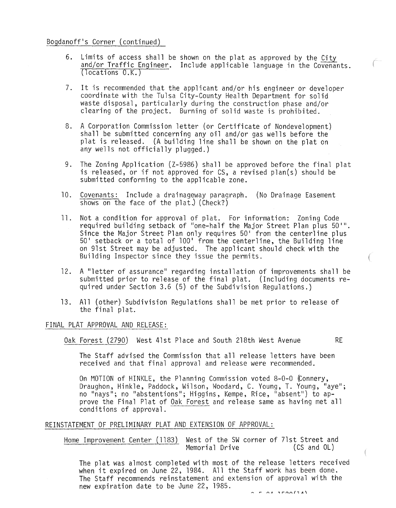# Bogdanoff's Corner (continued)

- 6. Limits of access shall be shown on the plat as approved by the City and/or Traffic Engineer. Include applicable language in the Covenants. (locations O.K.)
- 7. It is recommended that the applicant and/or his engineer or developer coordinate with the Tulsa City-County Health Department for solid waste disposal, particularly during the construction phase and/or clearing of the project. Burning of solid waste is prohibited.
- 8. A Corporation Commission letter (or Certificate of Nondevelopment) shall be submitted concerning any oil and/or gas wells before the plat is released. (A building line shall be shown on the plat on any wells not officially plugged.)
- 9. The Zoning Application (Z-5986) shall be approved before the final plat is released, or if not approved for CS, a revised plan(s) should be submitted conforming to the applicable zone.
- 10. Covenants: Include a drainageway paragraph. (No Drainage Easement shows on the face of the plat.) (Check?)
- 11. Not a condition for approval of plat. For information: Zoning Code required building setback of "one-half the Major Street Plan plus 50'".<br>Since the Major Street Plan only requires 50' from the centerline plus 50' setback or a total of 100' from the centerline, the Building line on 91st Street may be adjusted. The applicant should check with the Building Inspector since they issue the permits.
- 12. A "letter of assurance" regarding installation of improvements shall be submitted prior to release of the final plat. (Including documents required under Section 3.6 (5) of the Subdivision Regulations.)
- 13. All (other) Subdivision Regulations shall be met prior to release of the final plat.

## FINAL PLAT APPROVAL AND RELEASE:

Oak Forest (2790) West 41st Place and South 218th West Avenue RE

The Staff advised the Commission that all release letters have been received and that final approval and release were recommended.

On MOTION of HINKLE, the Planning Commission voted 8-0-0 (Connery, Draughon, Hinkle, Paddock, Wilson, Woodard, C. Young, T. Young, "aye"; no "nays"; no "abstentions"; Higgins, Kempe, Rice, "absent") to approve the Final Plat of Oak Forest and release same as having met all conditions of approval.

# REINSTATEMENT OF PRELIMINARY PLAT AND EXTENSION OF APPROVAL:

Home Improvement Center (1183) West of the SW corner of 71st Street and<br>Memorial Drive (CS and OL) Memorial Drive

The plat was almost completed with most of the release letters received when it expired on June 22, 1984. All the Staff work has been done. The Staff recommends reinstatement and extension of approval with the new expiration date to be June 22, 1985.

 $\left($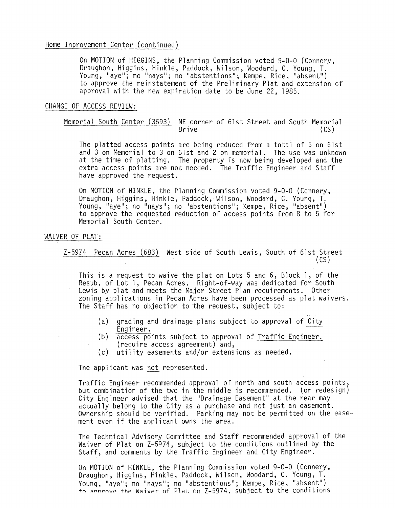On MOTION of HIGGINS, the Planning Commission voted 9-0-0 (Connery, Draughon, Higgins, Hinkle, Paddock, Wilson, Woodard, C. Young, T. Young, "aye"; no "nays"; no "abstentions"; Kempe, Rice, "absent") to approve the reinstatement of the Preliminary Plat and extension of approval with the new expiration date to be June 22, 1985.

## CHANGE OF ACCESS REVIEW:

Memorial South Center (3693) NE corner of 61st Street and South Memorial Drive (CS)

The platted access points are being reduced from a total of 5 on 61st and 3 on Memorial to 3 on 61st and 2 on memorial. The use was unknown at the time of platting. The property is now being developed and the extra access points are not needed. The Traffic Engineer and Staff have approved the request.

On MOTION of HINKLE, the Planning Commission voted 9-0-0 (Connery, Draughon, Higgins, Hinkle, Paddock, Wilson, Woodard, C. Young, T. Young, "aye"; no "nays"; no "abstentions"; Kempe, Rice, "absent") to approve the requested reduction of access points from 8 to 5 for Memorial South Center.

# WAIVER OF PLAT:

Z-5974 Pecan Acres (683) West side of South Lewis, South of 61st Street (CS)

This is a request to waive the plat on Lots 5 and 6, Block 1, of the Resub. of Lot 1, Pecan Acres. Right-of-way was dedicated for South Lewis by plat and meets the Major Street Plan requirements. Other zoning applications in Pecan Acres have been processed as plat waivers. The Staff has no objection to the request, subject to:

- (a) grading and drainage plans subject to approval of City<br>Engineer,<br>(b) access points subject to approval of Traffic Engineer.
- (require access agreement) and,
- (c) utility easements and/or extensions as needed.

The applicant was not represented.

Traffic Engineer recommended approval of north and south access points, but combination of the two in the middle is recommended. (or redesign) City Engineer advised that the "Drainage Easement" at the rear may actually belong to the City as a purchase and not just an easement. Ownership should be verified. Parking may not be permitted on the easement even if the applicant owns the area.

The Technical Advisory Committee and Staff recommended approval of the Waiver of Plat on Z-5974, subject to the conditions outlined by the Staff, and comments by the Traffic Engineer and City Engineer.

On MOTION of HINKLE, the Planning Commission voted 9-0-0 (Connery,<br>Draughon, Higgins, Hinkle, Paddock, Wilson, Woodard, C. Young, T. Young, "aye"; no "nays"; no "abstentions"; Kempe, Rice, "absent")<br>to annrove the Waiver of Plat on Z-5974. subject to the conditions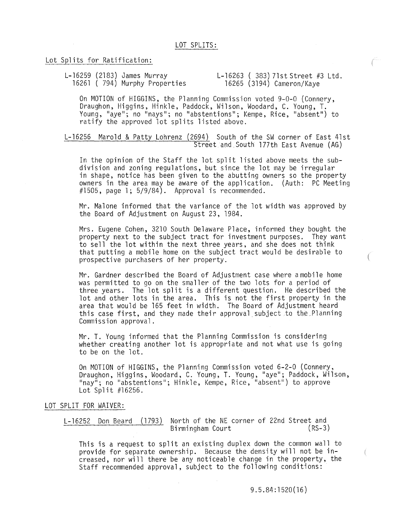# Lot Splits for Ratification:

L-16259 (2183) James Murray 16261 ( 794) Murphy Properties L-16263 ( 383) 7lst Street #3 Ltd. 16265 (3194) Cameron/Kaye

On MOTION of HIGGINS, the Planning Commission voted 9-0-0 (Connery, Draughon, Higgins, Hinkle, Paddock, Wilson, Woodard, C. Young, T. Young, "aye"; no "nays"; no "abstentions"; Kempe, Rice, "absent") to ratify the approved lot splits listed above.

L-16256 Marold & Patty Lohrenz (2694) South of the SW corner of East 41st Street and South l77th East Avenue (AG)

In the opinion of the Staff the lot split listed above meets the subdivision and zoning regulations, but since the lot may be irregular in shape, notice has been given to the abutting owners so the property owners in the area may be aware of the application. (Auth: PC Meeting  $\#1505$ , page 1; 5/9/84). Approval is recommended.

Mr. Malone informed that the variance of the lot width was approved by the Board of Adjustment on August 23, 1984.

Mrs. Eugene Cohen, 3210 South Delaware Place, informed they bought the property next to the subject tract for investment purposes. They want to sell the lot within the next three years, and she does not think that putting a mobile home on the subject tract would be desirable to prospective purchasers of her property.

Mr. Gardner described the Board of Adjustment case where amobile home was permitted to go on the smaller of the two lots for a period of three years. The lot split is a different question. He described the lot and other lots in the area. This is not the first property in the area that would be 165 feet in width. The Board of Adjustment heard this case first, and they made their approval subject to the Planning Commission approval.

Mr. T. Young informed that the Planning Commission is considering whether creating another lot is appropriate and not what use is going to be on the lot.

On MOTION of HIGGINS, the Planning Commission voted 6-2-0 (Connery, Draughon, Higgins, Woodard, C. Young, T. Young, "aye"; Paddock, Wilson, "nay"; no "abstentions"; Hinkle, Kempe, Rice, "absent") to approve Lot Split #16256.

## LOT SPLIT FOR WAIVER:

L-16252 Don Beard (1793) North of the NE corner of 22nd Street and Birmingham Court

This is a request to split an existing duplex down the common wall to provide for separate ownership. Because the density will not be increased, nor will there be any noticeable change in the property, the Staff recommended approval, subject to the following conditions:

€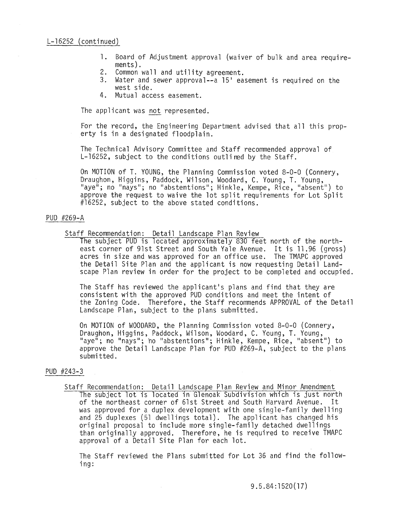- 1. Board of Adjustment approval (waiver of bulk and area require-
- 2. Common wall and utility agreement.<br>3. Water and sewer approval--a  $15'$  ea
- Water and sewer approval--a  $15<sup>1</sup>$  easement is required on the west side.
- 4. Mutual access easement.

The applicant was not represented.

For the record, the Engineering Department advised that all this property is in a designated floodplain.

The Technical Advisory Committee and Staff recommended approval of L-16252, subject to the conditions outlined by the Staff.

On MOTION of T. YOUNG, the Planning Commission voted 8-0-0 (Connery, Draughon, Higgins, Paddock, Wilson, Woodard, C. Young, T. Young, "aye"; no "nays"; no "abstentions"; Hinkle, Kempe, Rice, "absent") to approve the request to waive the lot split requirements for Lot Split #16252, subject to the above stated conditions.

# PUD #269-A

Staff Recommendation: Detail Landscape Plan Review

The subject PUD is located approximately 830 feet north of the northeast corner of 91st Street and South Yale Avenue. It is 11.96 (gross) acres in size and was approved for an office use. The TMAPC approved the Detail Site Plan and the applicant is now requesting Detail Landscape Plan review in order for the project to be completed and occupied.

The Staff has reviewed the applicant's plans and find that they are consistent with the approved PUD conditions and meet the intent of the Zoning Code. Therefore, the Staff recommends APPROVAL of the Detail Landscape Plan, subject to the plans submitted.

On MOTION of WOODARD, the Planning Commission voted 8-0-0 (Connery, Draughon, Higgins, Paddock, Wilson, Woodard, C. Young, T. Young, "aye"; no "nays"; ho "abstentions"; Hinkle, Kempe, Rice, "absent") to approve the Detail Landscape Plan for PUD #269-A, subject to the plans submitted.

# PUD #243-3

Staff Recommendation: Detail Landscape Plan Review and Minor Amendment The subject lot is located in Glenoak Subdivision which is just north of the northeast corner of 61st Street and South Harvard Avenue. It was approved for a duplex development with one single-family dwelling and 25 duplexes (51 dwellings total). The applicant has changed his original proposal to include more single-family detached dwellings than originally approved. Therefore, he is required to receive TMAPC approval of a Detail Site Plan for each lot.

The Staff reviewed the Plans submitted for Lot 36 and find the following: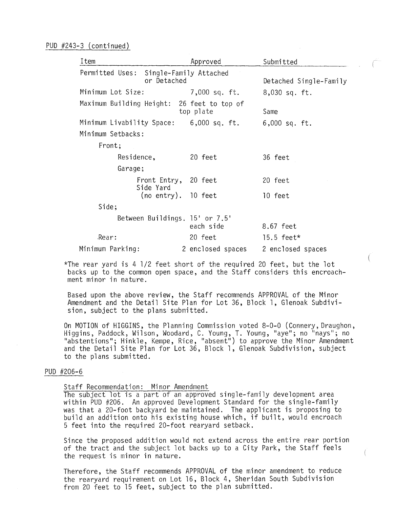| Item                                       |                                       | Approved          | Submitted              |
|--------------------------------------------|---------------------------------------|-------------------|------------------------|
| Permitted Uses:                            | Single-Family Attached<br>or Detached |                   | Detached Single-Family |
| Minimum Lot Size:                          |                                       | 7,000 sq. ft.     | 8,030 sq. ft.          |
| Maximum Building Height: 26 feet to top of |                                       | top plate         | Same                   |
| Minimum Livability Space:                  |                                       | 6,000 sq. ft.     | $6,000$ sq. ft.        |
| Minimum Setbacks:                          |                                       |                   |                        |
| Front;                                     |                                       |                   |                        |
| Residence,                                 |                                       | 20 feet           | 36 feet                |
| Garage;                                    |                                       |                   |                        |
|                                            | Front Entry, 20 feet<br>Side Yard     |                   | 20 feet                |
|                                            | $(no entry)$ . 10 feet                |                   | 10 feet                |
| Side;                                      |                                       |                   |                        |
|                                            | Between Buildings. 15' or 7.5'        | each side         | 8.67 feet              |
| Rear:                                      |                                       | 20 feet           | 15.5 feet*             |
| Minimum Parking:                           |                                       | 2 enclosed spaces | 2 enclosed spaces      |

\*The rear yard is 4 1/2 feet short of the required 20 feet, but the lot backs up to the common open space, and the Staff considers this encroachment minor in nature.

Based upon the above review, the Staff recommends APPROVAL of the Minor Amendment and the Detail Site Plan for Lot 36, Block 1, Glenoak Subdivision, subject to the plans submitted.

On MOTION of HIGGINS, the Planning Commission voted 8-0-0 (Connery, Draughon, Higgins, Paddock, Wilson, Woodard, C. Young, T. Young, "aye"; no "nays"; no "abstentions"; Hinkle, Kempe, Rice, "absent") to approve the Minor Amendment and the Detail Site Plan for Lot 36, Block 1, Glenoak Subdivision, subject to the plans submitted.

## PUD #206-6

Staff Recommendation: Minor Amendment

The subject lot is a part of an approved single-family development area within PUD #206. An approved Development Standard for the single-family was that a 20-foot backyard be maintained. The applicant is proposing to build an addition onto his existing house which, if built, would encroach 5 feet into the required 20-foot rearyard setback.

Since the proposed addition would not extend across the entire rear portion of the tract and the subject lot backs up to a City Park, the Staff feels the request is minor in nature.

Therefore, the Staff recommends APPROVAL of the minor amendment to reduce the rearyard requirement on Lot 16, Block 4, Sheridan South Subdivision from 20 feet to 15 feet, subject to the plan submitted.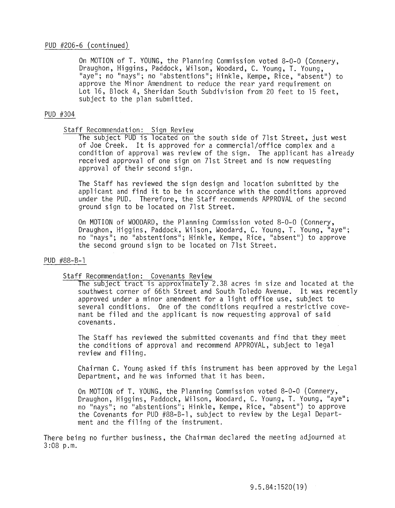# PUD #206-6 (continued)

On MOTION of T. YOUNG, the Planning Commission voted 8-0-0 (Connery, Draughon, Higgins, Paddock, Wilson, Woodard, C. Young, T. Young, Ilaye"; no "nays"; no "abstentions"; Hinkle, Kempe, Rice, "absent") to approve the Minor Amendment to reduce the rear yard requirement on Lot 16, Block 4, Sheridan South Subdivision from 20 feet to 15 feet. subject to the plan submitted.

# PUD #304

# Staff Recommendation: Sign Review

The subject PUD is located on the south side of 71st Street, just west of Joe Creek. It is approved for a commercial/office complex and a condition of approval was review of the sign. The applicant has already received approval of one sign on 71st Street and is now requesting approval of their second sign.

The Staff has reviewed the sign design and location submitted by the applicant and find it to be in accordance with the conditions approved under the PUD. Therefore, the Staff recommends APPROVAL of the second ground sign to be located on 71st Street.

On MOTION of WOODARD, the Planning Commission voted 8-0-0 (Connery, Draughon, Higgins, Paddock, Wilson, Woodard, C. Young, T. Young, "aye"; no "nays"; no "abstentions"; Hinkle, Kempe, Rice, "absent") to approve the second ground sign to be located on 71st Street.

# PUD #88-8-1

# Staff Recommendation: Covenants Review

The subject tract is approximately 2.38 acres in size and located at the southwest corner of 66th Street and South Toledo Avenue. It was recently approved under a minor amendment for a light office use, subject to several conditions. One of the conditions required a restrictive covenant be filed and the applicant is now requesting approval of said covenants.

The Staff has reviewed the submitted covenants and find that they meet the conditions of approval and recommend APPROVAL, subject to legal review and filing.

Chairman C. Young asked if this instrument has been approved by the Legal Department, and he was informed that it has been.

On MOTION of T. YOUNG, the Planning Commission voted 8-0-0 (Connery, Draughon, Higgins, Paddock, Wilson, Woodard, C. Young, T. Young, "aye"; no "nays"; no "abstentions"; Hinkle, Kempe, Rice, "absent") to approve the Covenants for PUD #88-8-1, subject to review by the Legal Department and the filing of the instrument.

There being no further business, the Chairman declared the meeting adjourned at 3:08 p.m.